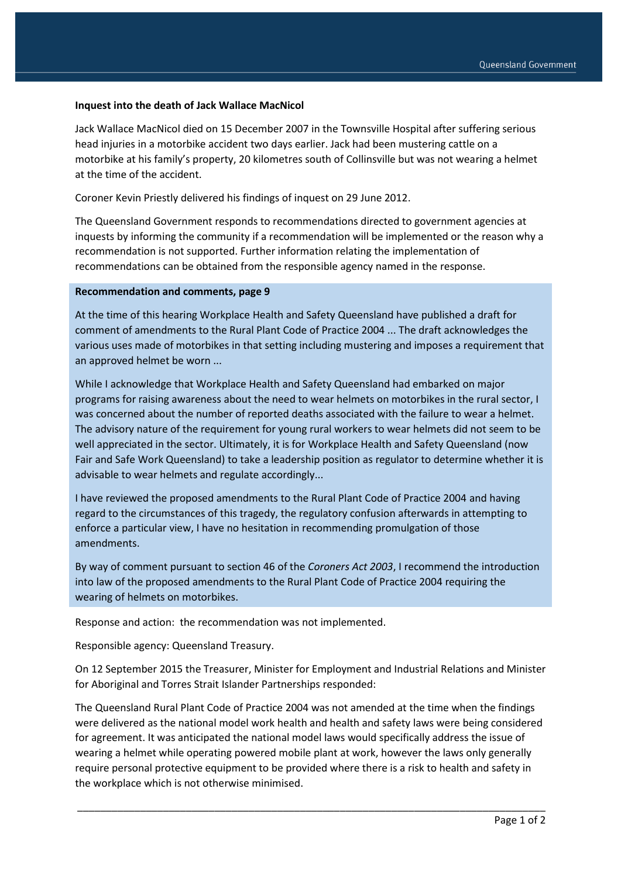## **Inquest into the death of Jack Wallace MacNicol**

Jack Wallace MacNicol died on 15 December 2007 in the Townsville Hospital after suffering serious head injuries in a motorbike accident two days earlier. Jack had been mustering cattle on a motorbike at his family's property, 20 kilometres south of Collinsville but was not wearing a helmet at the time of the accident.

Coroner Kevin Priestly delivered his findings of inquest on 29 June 2012.

The Queensland Government responds to recommendations directed to government agencies at inquests by informing the community if a recommendation will be implemented or the reason why a recommendation is not supported. Further information relating the implementation of recommendations can be obtained from the responsible agency named in the response.

## **Recommendation and comments, page 9**

At the time of this hearing Workplace Health and Safety Queensland have published a draft for comment of amendments to the Rural Plant Code of Practice 2004 ... The draft acknowledges the various uses made of motorbikes in that setting including mustering and imposes a requirement that an approved helmet be worn ...

While I acknowledge that Workplace Health and Safety Queensland had embarked on major programs for raising awareness about the need to wear helmets on motorbikes in the rural sector, I was concerned about the number of reported deaths associated with the failure to wear a helmet. The advisory nature of the requirement for young rural workers to wear helmets did not seem to be well appreciated in the sector. Ultimately, it is for Workplace Health and Safety Queensland (now Fair and Safe Work Queensland) to take a leadership position as regulator to determine whether it is advisable to wear helmets and regulate accordingly...

I have reviewed the proposed amendments to the Rural Plant Code of Practice 2004 and having regard to the circumstances of this tragedy, the regulatory confusion afterwards in attempting to enforce a particular view, I have no hesitation in recommending promulgation of those amendments.

By way of comment pursuant to section 46 of the *Coroners Act 2003*, I recommend the introduction into law of the proposed amendments to the Rural Plant Code of Practice 2004 requiring the wearing of helmets on motorbikes.

Response and action: the recommendation was not implemented.

Responsible agency: Queensland Treasury.

On 12 September 2015 the Treasurer, Minister for Employment and Industrial Relations and Minister for Aboriginal and Torres Strait Islander Partnerships responded:

The Queensland Rural Plant Code of Practice 2004 was not amended at the time when the findings were delivered as the national model work health and health and safety laws were being considered for agreement. It was anticipated the national model laws would specifically address the issue of wearing a helmet while operating powered mobile plant at work, however the laws only generally require personal protective equipment to be provided where there is a risk to health and safety in the workplace which is not otherwise minimised.

\_\_\_\_\_\_\_\_\_\_\_\_\_\_\_\_\_\_\_\_\_\_\_\_\_\_\_\_\_\_\_\_\_\_\_\_\_\_\_\_\_\_\_\_\_\_\_\_\_\_\_\_\_\_\_\_\_\_\_\_\_\_\_\_\_\_\_\_\_\_\_\_\_\_\_\_\_\_\_\_\_\_